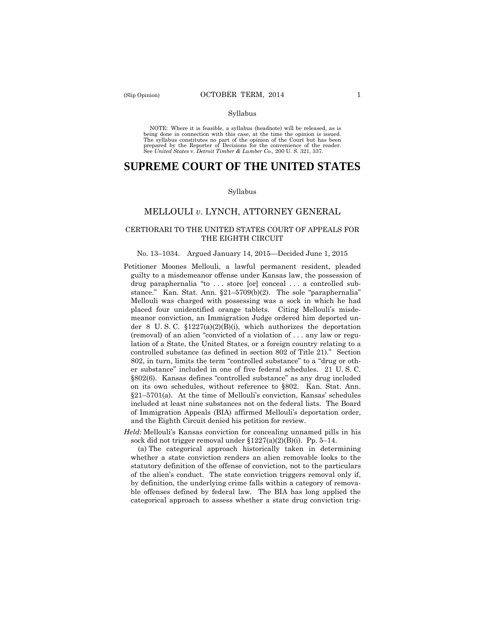#### Syllabus

 NOTE: Where it is feasible, a syllabus (headnote) will be released, as is being done in connection with this case, at the time the opinion is issued. The syllabus constitutes no part of the opinion of the Court but has been<br>prepared by the Reporter of Decisions for the convenience of the reader.<br>See United States v. Detroit Timber & Lumber Co., 200 U.S. 321, 337.

# **SUPREME COURT OF THE UNITED STATES**

#### Syllabus

## MELLOULI *v*. LYNCH, ATTORNEY GENERAL

### CERTIORARI TO THE UNITED STATES COURT OF APPEALS FOR THE EIGHTH CIRCUIT

#### No. 13–1034. Argued January 14, 2015—Decided June 1, 2015

- Petitioner Moones Mellouli, a lawful permanent resident, pleaded guilty to a misdemeanor offense under Kansas law, the possession of drug paraphernalia "to . . . store [or] conceal . . . a controlled substance." Kan. Stat. Ann. §21–5709(b)(2). The sole "paraphernalia" Mellouli was charged with possessing was a sock in which he had placed four unidentified orange tablets. Citing Mellouli's misdemeanor conviction, an Immigration Judge ordered him deported under 8 U. S. C. §1227(a)(2)(B)(i), which authorizes the deportation (removal) of an alien "convicted of a violation of . . . any law or regulation of a State, the United States, or a foreign country relating to a controlled substance (as defined in section 802 of Title 21)." Section 802, in turn, limits the term "controlled substance" to a "drug or other substance" included in one of five federal schedules. 21 U. S. C. §802(6). Kansas defines "controlled substance" as any drug included on its own schedules, without reference to §802. Kan. Stat. Ann. §21–5701(a). At the time of Mellouli's conviction, Kansas' schedules included at least nine substances not on the federal lists. The Board of Immigration Appeals (BIA) affirmed Mellouli's deportation order, and the Eighth Circuit denied his petition for review.
- *Held*: Mellouli's Kansas conviction for concealing unnamed pills in his sock did not trigger removal under  $$1227(a)(2)(B)(i)$ . Pp. 5–14.

(a) The categorical approach historically taken in determining whether a state conviction renders an alien removable looks to the statutory definition of the offense of conviction, not to the particulars of the alien's conduct. The state conviction triggers removal only if, by definition, the underlying crime falls within a category of removable offenses defined by federal law. The BIA has long applied the categorical approach to assess whether a state drug conviction trig-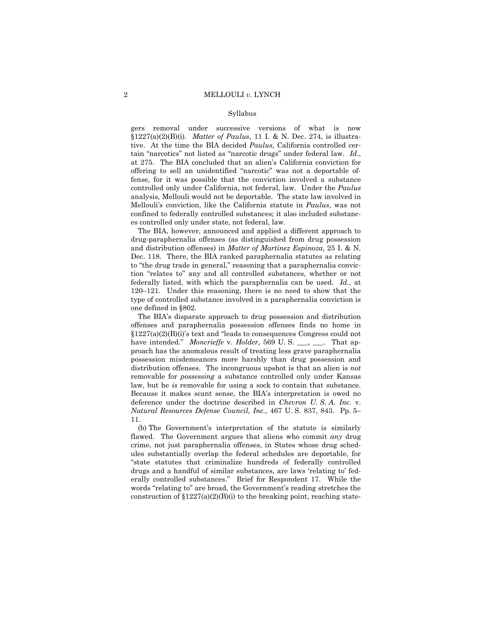#### Syllabus

gers removal under successive versions of what is now §1227(a)(2)(B)(i). *Matter of Paulus*, 11 I. & N. Dec. 274, is illustrative. At the time the BIA decided *Paulus*, California controlled certain "narcotics" not listed as "narcotic drugs" under federal law. *Id.*, at 275. The BIA concluded that an alien's California conviction for offering to sell an unidentified "narcotic" was not a deportable offense, for it was possible that the conviction involved a substance controlled only under California, not federal, law. Under the *Paulus*  analysis, Mellouli would not be deportable. The state law involved in Mellouli's conviction, like the California statute in *Paulus*, was not confined to federally controlled substances; it also included substances controlled only under state, not federal, law.

 one defined in §802. The BIA, however, announced and applied a different approach to drug-paraphernalia offenses (as distinguished from drug possession and distribution offenses) in *Matter of Martinez Espinoza*, 25 I. & N. Dec. 118. There, the BIA ranked paraphernalia statutes as relating to "the drug trade in general," reasoning that a paraphernalia conviction "relates to" any and all controlled substances, whether or not federally listed, with which the paraphernalia can be used. *Id.*, at 120–121. Under this reasoning, there is no need to show that the type of controlled substance involved in a paraphernalia conviction is

The BIA's disparate approach to drug possession and distribution offenses and paraphernalia possession offenses finds no home in  $$1227(a)(2)(B)(i)$ 's text and "leads to consequences Congress could not have intended." *Moncrieffe* v. *Holder*, 569 U.S. \_\_, \_\_\_. That approach has the anomalous result of treating less grave paraphernalia possession misdemeanors more harshly than drug possession and distribution offenses. The incongruous upshot is that an alien is *not*  removable for *possessing* a substance controlled only under Kansas law, but he *is* removable for using a sock to contain that substance. Because it makes scant sense, the BIA's interpretation is owed no deference under the doctrine described in *Chevron U. S. A. Inc.* v. *Natural Resources Defense Council, Inc.*, 467 U. S. 837, 843. Pp. 5– 11.

(b) The Government's interpretation of the statute is similarly flawed. The Government argues that aliens who commit *any* drug crime, not just paraphernalia offenses, in States whose drug schedules substantially overlap the federal schedules are deportable, for "state statutes that criminalize hundreds of federally controlled drugs and a handful of similar substances, are laws 'relating to' federally controlled substances." Brief for Respondent 17. While the words "relating to" are broad, the Government's reading stretches the construction of  $$1227(a)(2)(B)(i)$  to the breaking point, reaching state-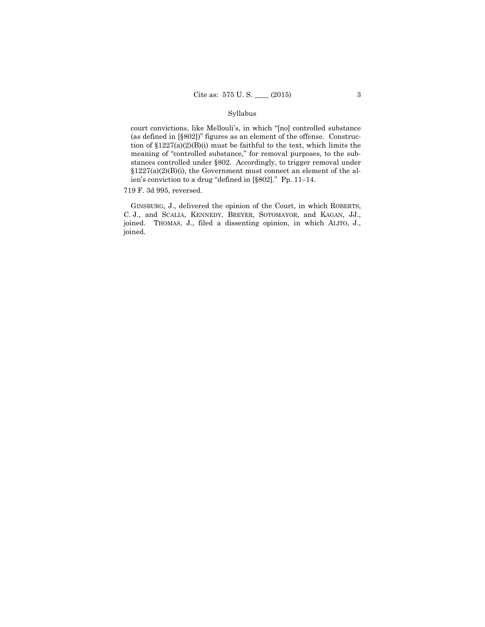## Syllabus

court convictions, like Mellouli's, in which "[no] controlled substance (as defined in [§802])" figures as an element of the offense. Construction of §1227(a)(2)(B)(i) must be faithful to the text, which limits the meaning of "controlled substance," for removal purposes, to the substances controlled under §802. Accordingly, to trigger removal under  $$1227(a)(2)(B)(i)$ , the Government must connect an element of the alien's conviction to a drug "defined in [§802]." Pp. 11–14.

#### 719 F. 3d 995, reversed.

 joined. THOMAS, J., filed a dissenting opinion, in which ALITO, J., GINSBURG, J., delivered the opinion of the Court, in which ROBERTS, C. J., and SCALIA, KENNEDY, BREYER, SOTOMAYOR, and KAGAN, JJ., joined.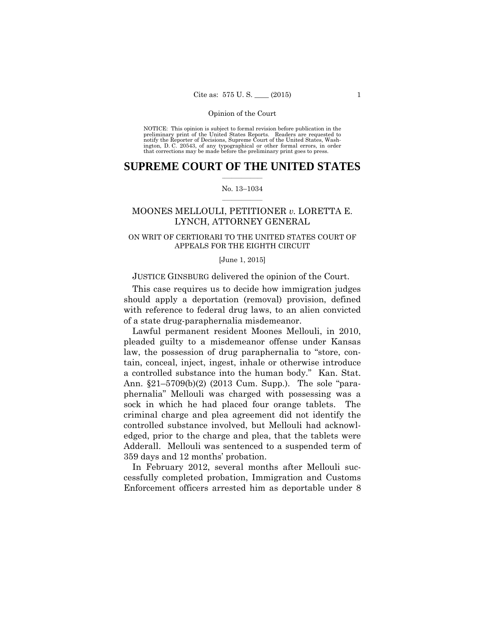preliminary print of the United States Reports. Readers are requested to notify the Reporter of Decisions, Supreme Court of the United States, Wash- ington, D. C. 20543, of any typographical or other formal errors, in order that corrections may be made before the preliminary print goes to press. NOTICE: This opinion is subject to formal revision before publication in the

## $\frac{1}{2}$  ,  $\frac{1}{2}$  ,  $\frac{1}{2}$  ,  $\frac{1}{2}$  ,  $\frac{1}{2}$  ,  $\frac{1}{2}$  ,  $\frac{1}{2}$ **SUPREME COURT OF THE UNITED STATES**

#### $\frac{1}{2}$  ,  $\frac{1}{2}$  ,  $\frac{1}{2}$  ,  $\frac{1}{2}$  ,  $\frac{1}{2}$  ,  $\frac{1}{2}$ No. 13–1034

# MOONES MELLOULI, PETITIONER *v.* LORETTA E. LYNCH, ATTORNEY GENERAL

## ON WRIT OF CERTIORARI TO THE UNITED STATES COURT OF APPEALS FOR THE EIGHTH CIRCUIT

#### [June 1, 2015]

## JUSTICE GINSBURG delivered the opinion of the Court.

This case requires us to decide how immigration judges should apply a deportation (removal) provision, defined with reference to federal drug laws, to an alien convicted of a state drug-paraphernalia misdemeanor.

Lawful permanent resident Moones Mellouli, in 2010, pleaded guilty to a misdemeanor offense under Kansas law, the possession of drug paraphernalia to "store, contain, conceal, inject, ingest, inhale or otherwise introduce a controlled substance into the human body." Kan. Stat. Ann. §21–5709(b)(2) (2013 Cum. Supp.). The sole "paraphernalia" Mellouli was charged with possessing was a sock in which he had placed four orange tablets. The criminal charge and plea agreement did not identify the controlled substance involved, but Mellouli had acknowledged, prior to the charge and plea, that the tablets were Adderall. Mellouli was sentenced to a suspended term of 359 days and 12 months' probation.

In February 2012, several months after Mellouli successfully completed probation, Immigration and Customs Enforcement officers arrested him as deportable under 8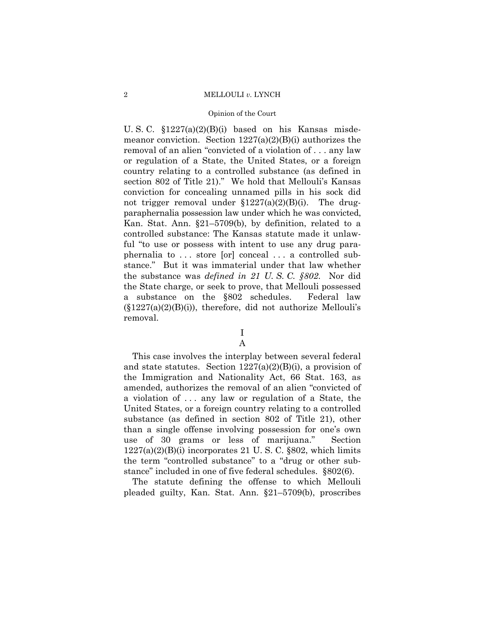#### Opinion of the Court

U. S. C.  $$1227(a)(2)(B)(i)$  based on his Kansas misdemeanor conviction. Section  $1227(a)(2)(B)(i)$  authorizes the removal of an alien "convicted of a violation of . . . any law or regulation of a State, the United States, or a foreign country relating to a controlled substance (as defined in section 802 of Title 21)." We hold that Mellouli's Kansas conviction for concealing unnamed pills in his sock did not trigger removal under  $\S 1227(a)(2)(B)(i)$ . The drugparaphernalia possession law under which he was convicted, Kan. Stat. Ann. §21–5709(b), by definition, related to a controlled substance: The Kansas statute made it unlawful "to use or possess with intent to use any drug paraphernalia to . . . store [or] conceal . . . a controlled substance." But it was immaterial under that law whether the substance was *defined in 21 U. S. C. §802*. Nor did the State charge, or seek to prove, that Mellouli possessed a substance on the §802 schedules. Federal law  $(\S1227(a)(2)(B)(i))$ , therefore, did not authorize Mellouli's removal.

# I

A

This case involves the interplay between several federal and state statutes. Section  $1227(a)(2)(B)(i)$ , a provision of the Immigration and Nationality Act, 66 Stat. 163, as amended, authorizes the removal of an alien "convicted of a violation of . . . any law or regulation of a State, the United States, or a foreign country relating to a controlled substance (as defined in section 802 of Title 21), other than a single offense involving possession for one's own use of 30 grams or less of marijuana." Section  $1227(a)(2)(B)(i)$  incorporates 21 U.S.C. §802, which limits the term "controlled substance" to a "drug or other substance" included in one of five federal schedules. §802(6).

The statute defining the offense to which Mellouli pleaded guilty, Kan. Stat. Ann. §21–5709(b), proscribes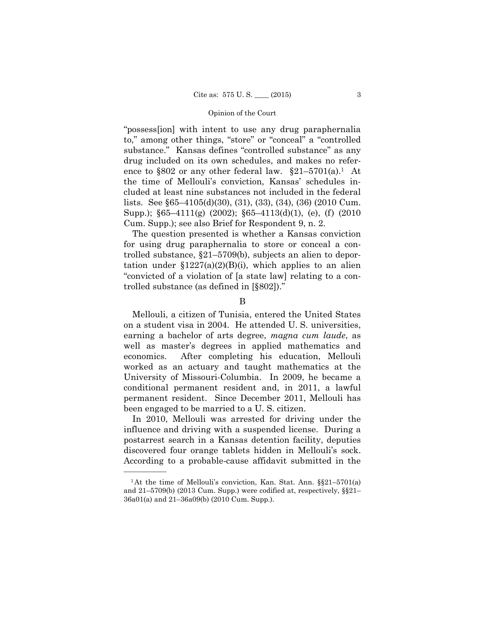"possess[ion] with intent to use any drug paraphernalia to," among other things, "store" or "conceal" a "controlled substance." Kansas defines "controlled substance" as any drug included on its own schedules, and makes no reference to  $\S 802$  or any other federal law.  $\S 21-5701(a)$ . At the time of Mellouli's conviction, Kansas' schedules included at least nine substances not included in the federal lists. See §65–4105(d)(30), (31), (33), (34), (36) (2010 Cum. Supp.); §65–4111(g) (2002); §65–4113(d)(1), (e), (f) (2010 Cum. Supp.); see also Brief for Respondent 9, n. 2.

The question presented is whether a Kansas conviction for using drug paraphernalia to store or conceal a controlled substance, §21–5709(b), subjects an alien to deportation under  $$1227(a)(2)(B)(i)$ , which applies to an alien "convicted of a violation of [a state law] relating to a controlled substance (as defined in [§802])."

B

Mellouli, a citizen of Tunisia, entered the United States on a student visa in 2004. He attended U. S. universities, earning a bachelor of arts degree, *magna cum laude*, as well as master's degrees in applied mathematics and economics. After completing his education, Mellouli worked as an actuary and taught mathematics at the University of Missouri-Columbia. In 2009, he became a conditional permanent resident and, in 2011, a lawful permanent resident. Since December 2011, Mellouli has been engaged to be married to a U. S. citizen.

 discovered four orange tablets hidden in Mellouli's sock. In 2010, Mellouli was arrested for driving under the influence and driving with a suspended license. During a postarrest search in a Kansas detention facility, deputies According to a probable-cause affidavit submitted in the

<sup>&</sup>lt;sup>1</sup>At the time of Mellouli's conviction, Kan. Stat. Ann. §§21-5701(a) and 21–5709(b) (2013 Cum. Supp.) were codified at, respectively, §§21– 36a01(a) and 21–36a09(b) (2010 Cum. Supp.).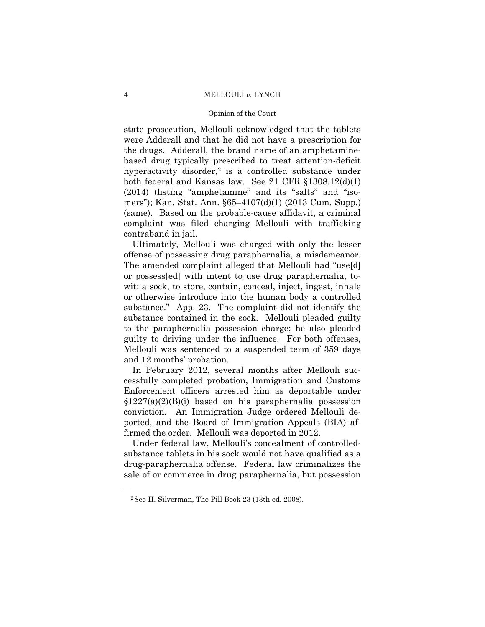#### Opinion of the Court

state prosecution, Mellouli acknowledged that the tablets were Adderall and that he did not have a prescription for the drugs. Adderall, the brand name of an amphetaminebased drug typically prescribed to treat attention-deficit hyperactivity disorder, $2$  is a controlled substance under both federal and Kansas law. See 21 CFR §1308.12(d)(1) (2014) (listing "amphetamine" and its "salts" and "isomers"); Kan. Stat. Ann. §65–4107(d)(1) (2013 Cum. Supp.) (same). Based on the probable-cause affidavit, a criminal complaint was filed charging Mellouli with trafficking contraband in jail.

Ultimately, Mellouli was charged with only the lesser offense of possessing drug paraphernalia, a misdemeanor. The amended complaint alleged that Mellouli had "use[d] or possess[ed] with intent to use drug paraphernalia, towit: a sock, to store, contain, conceal, inject, ingest, inhale or otherwise introduce into the human body a controlled substance." App. 23. The complaint did not identify the substance contained in the sock. Mellouli pleaded guilty to the paraphernalia possession charge; he also pleaded guilty to driving under the influence. For both offenses, Mellouli was sentenced to a suspended term of 359 days and 12 months' probation.

In February 2012, several months after Mellouli successfully completed probation, Immigration and Customs Enforcement officers arrested him as deportable under  $$1227(a)(2)(B)(i)$  based on his paraphernalia possession conviction. An Immigration Judge ordered Mellouli deported, and the Board of Immigration Appeals (BIA) affirmed the order. Mellouli was deported in 2012.

Under federal law, Mellouli's concealment of controlledsubstance tablets in his sock would not have qualified as a drug-paraphernalia offense. Federal law criminalizes the sale of or commerce in drug paraphernalia, but possession

<sup>2</sup>See H. Silverman, The Pill Book 23 (13th ed. 2008).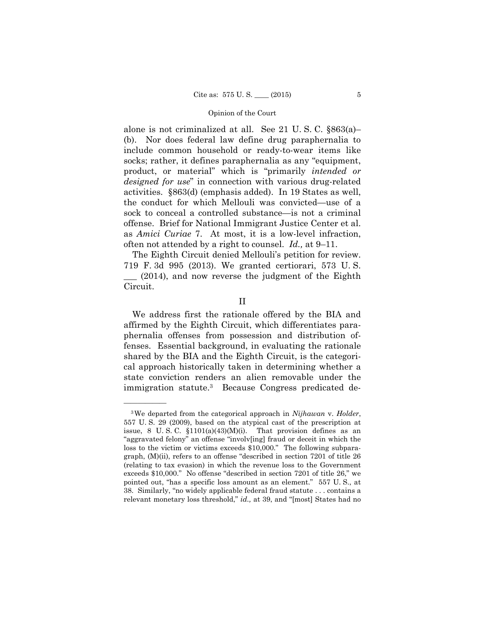alone is not criminalized at all. See 21 U. S. C. §863(a)– (b). Nor does federal law define drug paraphernalia to include common household or ready-to-wear items like socks; rather, it defines paraphernalia as any "equipment, product, or material" which is "primarily *intended or designed for use*" in connection with various drug-related activities. §863(d) (emphasis added). In 19 States as well, the conduct for which Mellouli was convicted—use of a sock to conceal a controlled substance—is not a criminal offense. Brief for National Immigrant Justice Center et al. as *Amici Curiae* 7. At most, it is a low-level infraction, often not attended by a right to counsel. *Id.,* at 9–11.

The Eighth Circuit denied Mellouli's petition for review. 719 F. 3d 995 (2013). We granted certiorari, 573 U. S. \_\_\_ (2014), and now reverse the judgment of the Eighth Circuit.

II

 immigration statute.3 Because Congress predicated de- We address first the rationale offered by the BIA and affirmed by the Eighth Circuit, which differentiates paraphernalia offenses from possession and distribution offenses. Essential background, in evaluating the rationale shared by the BIA and the Eighth Circuit, is the categorical approach historically taken in determining whether a state conviction renders an alien removable under the

<sup>3</sup>We departed from the categorical approach in *Nijhawan* v. *Holder*, 557 U. S. 29 (2009), based on the atypical cast of the prescription at issue, 8 U.S.C.  $$1101(a)(43)(M)(i)$ . That provision defines as an "aggravated felony" an offense "involv[ing] fraud or deceit in which the loss to the victim or victims exceeds \$10,000." The following subparagraph, (M)(ii), refers to an offense "described in section 7201 of title 26 (relating to tax evasion) in which the revenue loss to the Government exceeds \$10,000." No offense "described in section 7201 of title 26," we pointed out, "has a specific loss amount as an element." 557 U. S., at 38. Similarly, "no widely applicable federal fraud statute . . . contains a relevant monetary loss threshold," *id.,* at 39, and "[most] States had no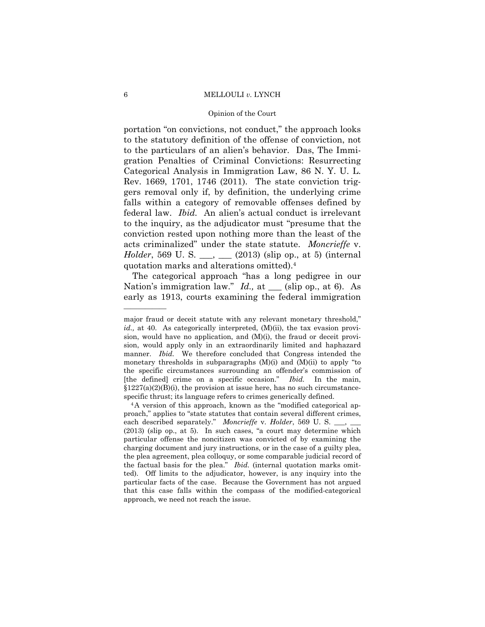#### Opinion of the Court

portation "on convictions, not conduct," the approach looks to the statutory definition of the offense of conviction, not to the particulars of an alien's behavior. Das, The Immigration Penalties of Criminal Convictions: Resurrecting Categorical Analysis in Immigration Law, 86 N. Y. U. L. Rev. 1669, 1701, 1746 (2011). The state conviction triggers removal only if, by definition, the underlying crime falls within a category of removable offenses defined by federal law. *Ibid.* An alien's actual conduct is irrelevant to the inquiry, as the adjudicator must "presume that the conviction rested upon nothing more than the least of the acts criminalized" under the state statute. *Moncrieffe* v. *Holder*, 569 U. S. \_\_\_, \_\_\_ (2013) (slip op., at 5) (internal quotation marks and alterations omitted).4

The categorical approach "has a long pedigree in our Nation's immigration law." *Id.*, at \_\_\_ (slip op., at 6). As early as 1913, courts examining the federal immigration

major fraud or deceit statute with any relevant monetary threshold," *id.*, at 40. As categorically interpreted, (M)(ii), the tax evasion provision, would have no application, and (M)(i), the fraud or deceit provision, would apply only in an extraordinarily limited and haphazard manner. *Ibid.* We therefore concluded that Congress intended the monetary thresholds in subparagraphs (M)(i) and (M)(ii) to apply "to the specific circumstances surrounding an offender's commission of [the defined] crime on a specific occasion." *Ibid.* In the main,  $$1227(a)(2)(B)(i)$ , the provision at issue here, has no such circumstancespecific thrust; its language refers to crimes generically defined.<br><sup>4</sup>A version of this approach, known as the "modified categorical ap-

 proach," applies to "state statutes that contain several different crimes, each described separately." *Moncrieffe v. Holder*, 569 U. S. \_\_, \_\_ (2013) (slip op., at 5). In such cases, "a court may determine which particular offense the noncitizen was convicted of by examining the charging document and jury instructions, or in the case of a guilty plea, the plea agreement, plea colloquy, or some comparable judicial record of the factual basis for the plea." *Ibid.* (internal quotation marks omitted). Off limits to the adjudicator, however, is any inquiry into the particular facts of the case. Because the Government has not argued that this case falls within the compass of the modified-categorical approach, we need not reach the issue.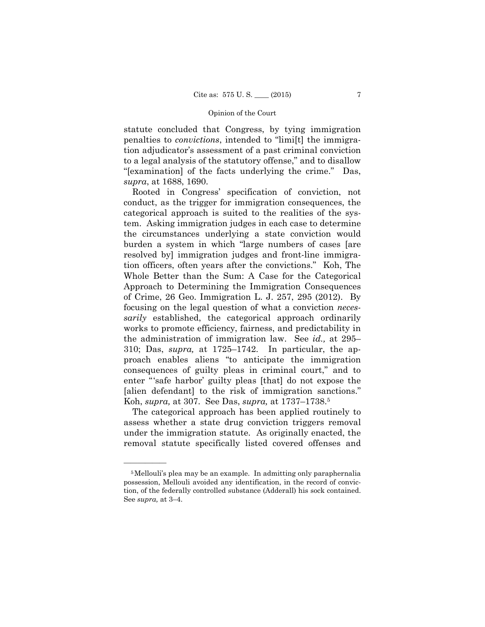statute concluded that Congress, by tying immigration penalties to *convictions*, intended to "limi[t] the immigration adjudicator's assessment of a past criminal conviction to a legal analysis of the statutory offense," and to disallow "[examination] of the facts underlying the crime." Das, *supra*, at 1688, 1690.

Rooted in Congress' specification of conviction, not conduct, as the trigger for immigration consequences, the categorical approach is suited to the realities of the system. Asking immigration judges in each case to determine the circumstances underlying a state conviction would burden a system in which "large numbers of cases [are resolved by] immigration judges and front-line immigration officers, often years after the convictions." Koh, The Whole Better than the Sum: A Case for the Categorical Approach to Determining the Immigration Consequences of Crime, 26 Geo. Immigration L. J. 257, 295 (2012). By focusing on the legal question of what a conviction *necessarily* established, the categorical approach ordinarily works to promote efficiency, fairness, and predictability in the administration of immigration law. See *id.,* at 295– 310; Das, *supra,* at 1725–1742. In particular, the approach enables aliens "to anticipate the immigration consequences of guilty pleas in criminal court," and to enter "'safe harbor' guilty pleas [that] do not expose the [alien defendant] to the risk of immigration sanctions." Koh, *supra,* at 307. See Das, *supra,* at 1737–1738.5

The categorical approach has been applied routinely to assess whether a state drug conviction triggers removal under the immigration statute. As originally enacted, the removal statute specifically listed covered offenses and

<sup>5</sup>Mellouli's plea may be an example. In admitting only paraphernalia possession, Mellouli avoided any identification, in the record of conviction, of the federally controlled substance (Adderall) his sock contained. See *supra,* at 3–4.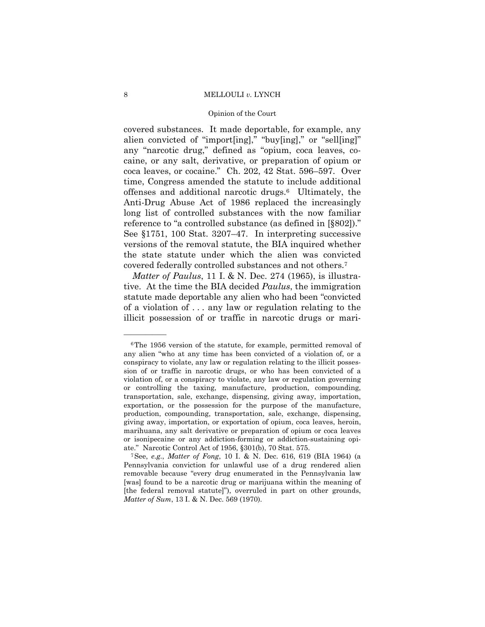#### Opinion of the Court

 alien convicted of "import[ing]," "buy[ing]," or "sell[ing]" covered substances. It made deportable, for example, any any "narcotic drug," defined as "opium, coca leaves, cocaine, or any salt, derivative, or preparation of opium or coca leaves, or cocaine." Ch. 202, 42 Stat. 596–597. Over time, Congress amended the statute to include additional offenses and additional narcotic drugs.6 Ultimately, the Anti-Drug Abuse Act of 1986 replaced the increasingly long list of controlled substances with the now familiar reference to "a controlled substance (as defined in [§802])." See §1751, 100 Stat. 3207–47. In interpreting successive versions of the removal statute, the BIA inquired whether the state statute under which the alien was convicted covered federally controlled substances and not others.7

*Matter of Paulus*, 11 I. & N. Dec. 274 (1965), is illustrative. At the time the BIA decided *Paulus*, the immigration statute made deportable any alien who had been "convicted of a violation of . . . any law or regulation relating to the illicit possession of or traffic in narcotic drugs or mari-

<sup>&</sup>lt;sup>6</sup>The 1956 version of the statute, for example, permitted removal of any alien "who at any time has been convicted of a violation of, or a conspiracy to violate, any law or regulation relating to the illicit possession of or traffic in narcotic drugs, or who has been convicted of a violation of, or a conspiracy to violate, any law or regulation governing or controlling the taxing, manufacture, production, compounding, transportation, sale, exchange, dispensing, giving away, importation, exportation, or the possession for the purpose of the manufacture, production, compounding, transportation, sale, exchange, dispensing, giving away, importation, or exportation of opium, coca leaves, heroin, marihuana, any salt derivative or preparation of opium or coca leaves or isonipecaine or any addiction-forming or addiction-sustaining opiate." Narcotic Control Act of 1956, §301(b), 70 Stat. 575. 7See, *e.g.*, *Matter of Fong*, 10 I. & N. Dec. 616, 619 (BIA 1964) (a

Pennsylvania conviction for unlawful use of a drug rendered alien removable because "every drug enumerated in the Pennsylvania law [was] found to be a narcotic drug or marijuana within the meaning of [the federal removal statute]"), overruled in part on other grounds, *Matter of Sum*, 13 I. & N. Dec. 569 (1970).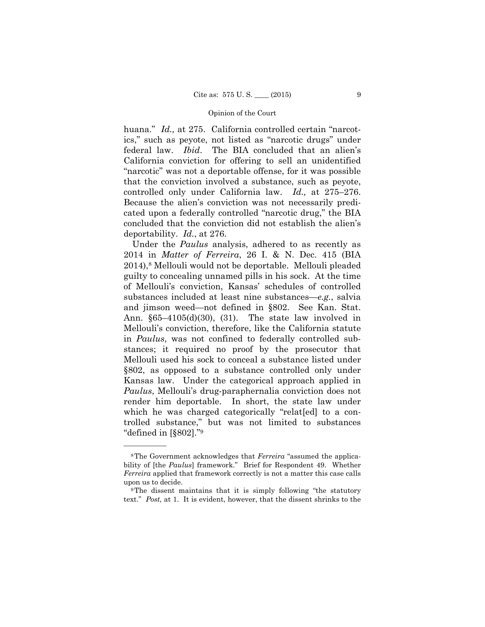huana." *Id.,* at 275. California controlled certain "narcotics," such as peyote, not listed as "narcotic drugs" under federal law. *Ibid*. The BIA concluded that an alien's California conviction for offering to sell an unidentified "narcotic" was not a deportable offense, for it was possible that the conviction involved a substance, such as peyote, controlled only under California law. *Id.,* at 275–276. Because the alien's conviction was not necessarily predicated upon a federally controlled "narcotic drug," the BIA concluded that the conviction did not establish the alien's deportability. *Id.*, at 276.

 Under the *Paulus* analysis, adhered to as recently as 2014 in *Matter of Ferreira*, 26 I. & N. Dec. 415 (BIA 2014),8 Mellouli would not be deportable. Mellouli pleaded guilty to concealing unnamed pills in his sock. At the time of Mellouli's conviction, Kansas' schedules of controlled substances included at least nine substances—*e.g.*, salvia and jimson weed—not defined in §802. See Kan. Stat. Ann. §65–4105(d)(30), (31). The state law involved in Mellouli's conviction, therefore, like the California statute in *Paulus*, was not confined to federally controlled substances; it required no proof by the prosecutor that Mellouli used his sock to conceal a substance listed under §802, as opposed to a substance controlled only under Kansas law. Under the categorical approach applied in *Paulus*, Mellouli's drug-paraphernalia conviction does not render him deportable. In short, the state law under which he was charged categorically "related to a controlled substance," but was not limited to substances "defined in [§802]."9

<sup>8</sup>The Government acknowledges that *Ferreira* "assumed the applicability of [the *Paulus*] framework." Brief for Respondent 49. Whether *Ferreira* applied that framework correctly is not a matter this case calls upon us to decide.<br><sup>9</sup>The dissent maintains that it is simply following "the statutory"

text." *Post,* at 1. It is evident, however, that the dissent shrinks to the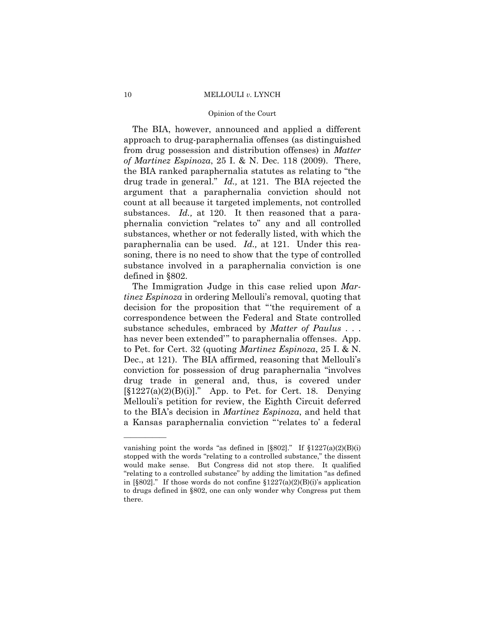#### Opinion of the Court

The BIA, however, announced and applied a different approach to drug-paraphernalia offenses (as distinguished from drug possession and distribution offenses) in *Matter of Martinez Espinoza*, 25 I. & N. Dec. 118 (2009). There, the BIA ranked paraphernalia statutes as relating to "the drug trade in general." *Id.,* at 121. The BIA rejected the argument that a paraphernalia conviction should not count at all because it targeted implements, not controlled substances. *Id.,* at 120. It then reasoned that a paraphernalia conviction "relates to" any and all controlled substances, whether or not federally listed, with which the paraphernalia can be used. *Id.,* at 121. Under this reasoning, there is no need to show that the type of controlled substance involved in a paraphernalia conviction is one defined in §802.

The Immigration Judge in this case relied upon *Martinez Espinoza* in ordering Mellouli's removal, quoting that decision for the proposition that "'the requirement of a correspondence between the Federal and State controlled substance schedules, embraced by *Matter of Paulus* . . . has never been extended'" to paraphernalia offenses. App. to Pet. for Cert. 32 (quoting *Martinez Espinoza*, 25 I. & N. Dec., at 121). The BIA affirmed, reasoning that Mellouli's conviction for possession of drug paraphernalia "involves drug trade in general and, thus, is covered under  $[\S1227(a)(2)(B)(i)]$ ." App. to Pet. for Cert. 18. Denying Mellouli's petition for review, the Eighth Circuit deferred to the BIA's decision in *Martinez Espinoza*, and held that a Kansas paraphernalia conviction "'relates to' a federal

vanishing point the words "as defined in  $\S 802$ ]." If  $\S 1227(a)(2)(B)(i)$ stopped with the words "relating to a controlled substance," the dissent would make sense. But Congress did not stop there. It qualified "relating to a controlled substance" by adding the limitation "as defined in [§802]." If those words do not confine  $$1227(a)(2)(B)(i)$ 's application to drugs defined in §802, one can only wonder why Congress put them there.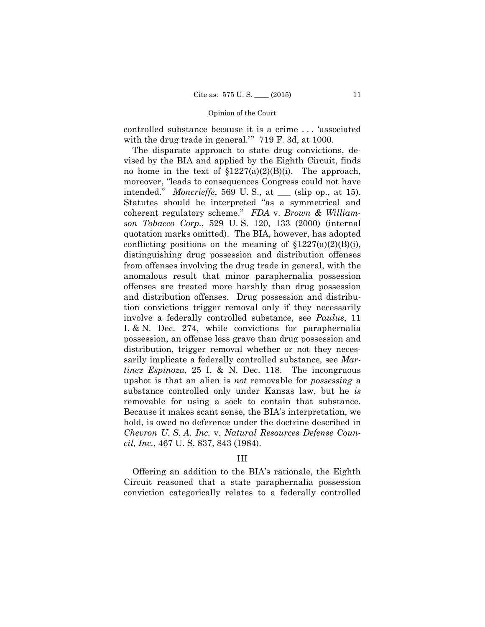controlled substance because it is a crime . . . 'associated with the drug trade in general.'" 719 F. 3d, at 1000.

The disparate approach to state drug convictions, devised by the BIA and applied by the Eighth Circuit, finds no home in the text of  $$1227(a)(2)(B)(i)$ . The approach, moreover, "leads to consequences Congress could not have intended." *Moncrieffe*, 569 U. S., at \_\_\_ (slip op., at 15). Statutes should be interpreted "as a symmetrical and coherent regulatory scheme." *FDA* v. *Brown & Williamson Tobacco Corp.*, 529 U. S. 120, 133 (2000) (internal quotation marks omitted). The BIA, however, has adopted conflicting positions on the meaning of  $\S 1227(a)(2)(B)(i)$ , distinguishing drug possession and distribution offenses from offenses involving the drug trade in general, with the anomalous result that minor paraphernalia possession offenses are treated more harshly than drug possession and distribution offenses. Drug possession and distribution convictions trigger removal only if they necessarily involve a federally controlled substance, see *Paulus*, 11 I. & N. Dec. 274, while convictions for paraphernalia possession, an offense less grave than drug possession and distribution, trigger removal whether or not they necessarily implicate a federally controlled substance, see *Martinez Espinoza*, 25 I. & N. Dec. 118. The incongruous upshot is that an alien is *not* removable for *possessing* a substance controlled only under Kansas law, but he *is*  removable for using a sock to contain that substance. Because it makes scant sense, the BIA's interpretation, we hold, is owed no deference under the doctrine described in *Chevron U. S. A. Inc.* v. *Natural Resources Defense Council, Inc.*, 467 U. S. 837, 843 (1984).

## III

Offering an addition to the BIA's rationale, the Eighth Circuit reasoned that a state paraphernalia possession conviction categorically relates to a federally controlled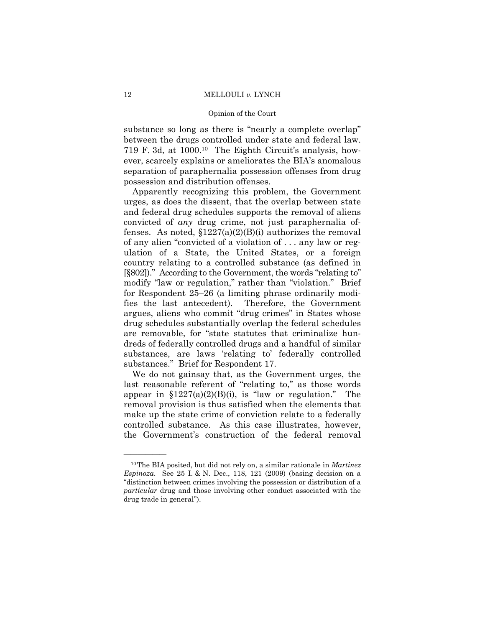#### Opinion of the Court

substance so long as there is "nearly a complete overlap" between the drugs controlled under state and federal law. 719 F. 3d, at 1000.10 The Eighth Circuit's analysis, however, scarcely explains or ameliorates the BIA's anomalous separation of paraphernalia possession offenses from drug possession and distribution offenses.

Apparently recognizing this problem, the Government urges, as does the dissent, that the overlap between state and federal drug schedules supports the removal of aliens convicted of *any* drug crime, not just paraphernalia offenses. As noted,  $$1227(a)(2)(B)(i)$  authorizes the removal of any alien "convicted of a violation of . . . any law or regulation of a State, the United States, or a foreign country relating to a controlled substance (as defined in [§802])." According to the Government, the words "relating to" modify "law or regulation," rather than "violation." Brief for Respondent 25–26 (a limiting phrase ordinarily modifies the last antecedent). Therefore, the Government argues, aliens who commit "drug crimes" in States whose drug schedules substantially overlap the federal schedules are removable, for "state statutes that criminalize hundreds of federally controlled drugs and a handful of similar substances, are laws 'relating to' federally controlled substances." Brief for Respondent 17.

We do not gainsay that, as the Government urges, the last reasonable referent of "relating to," as those words appear in  $$1227(a)(2)(B)(i)$ , is "law or regulation." The removal provision is thus satisfied when the elements that make up the state crime of conviction relate to a federally controlled substance. As this case illustrates, however, the Government's construction of the federal removal

 *Espinoza*. See 25 I. & N. Dec., 118, 121 (2009) (basing decision on a drug trade in general"). 10The BIA posited, but did not rely on, a similar rationale in *Martinez*  "distinction between crimes involving the possession or distribution of a *particular* drug and those involving other conduct associated with the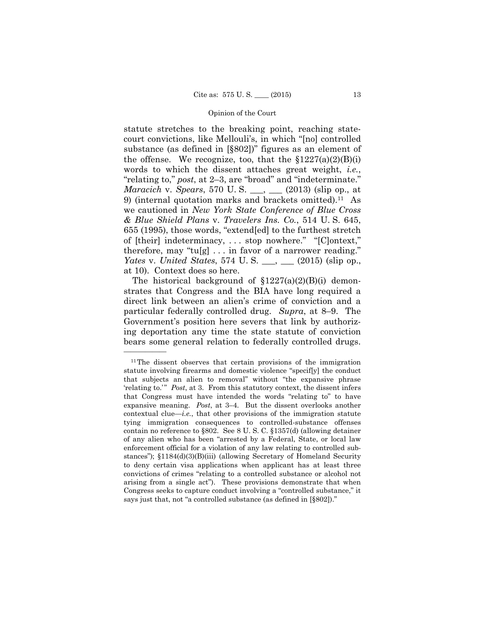statute stretches to the breaking point, reaching statecourt convictions, like Mellouli's, in which "[no] controlled substance (as defined in [§802])" figures as an element of the offense. We recognize, too, that the  $$1227(a)(2)(B)(i)$ words to which the dissent attaches great weight, *i.e.*, "relating to," *post*, at 2–3, are "broad" and "indeterminate." *Maracich* v. *Spears*, 570 U. S. \_\_\_, \_\_\_ (2013) (slip op., at 9) (internal quotation marks and brackets omitted).11 As we cautioned in *New York State Conference of Blue Cross & Blue Shield Plans* v. *Travelers Ins. Co.*, 514 U. S. 645, 655 (1995), those words, "extend[ed] to the furthest stretch of [their] indeterminacy, . . . stop nowhere." "[C]ontext," therefore, may "tu[g]  $\dots$  in favor of a narrower reading." *Yates* v. *United States*, 574 U. S. \_\_\_, \_\_\_ (2015) (slip op., at 10). Context does so here.

The historical background of  $$1227(a)(2)(B)(i)$  demonstrates that Congress and the BIA have long required a direct link between an alien's crime of conviction and a particular federally controlled drug. *Supra*, at 8–9. The Government's position here severs that link by authorizing deportation any time the state statute of conviction bears some general relation to federally controlled drugs.

<sup>11</sup>The dissent observes that certain provisions of the immigration statute involving firearms and domestic violence "specif[y] the conduct that subjects an alien to removal" without "the expansive phrase 'relating to.'" *Post*, at 3. From this statutory context, the dissent infers that Congress must have intended the words "relating to" to have expansive meaning. *Post*, at 3–4. But the dissent overlooks another contextual clue—*i.e.*, that other provisions of the immigration statute tying immigration consequences to controlled-substance offenses contain no reference to §802. See 8 U. S. C. §1357(d) (allowing detainer of any alien who has been "arrested by a Federal, State, or local law enforcement official for a violation of any law relating to controlled substances"); §1184(d)(3)(B)(iii) (allowing Secretary of Homeland Security to deny certain visa applications when applicant has at least three convictions of crimes "relating to a controlled substance or alcohol not arising from a single act"). These provisions demonstrate that when Congress seeks to capture conduct involving a "controlled substance," it says just that, not "a controlled substance (as defined in [§802])."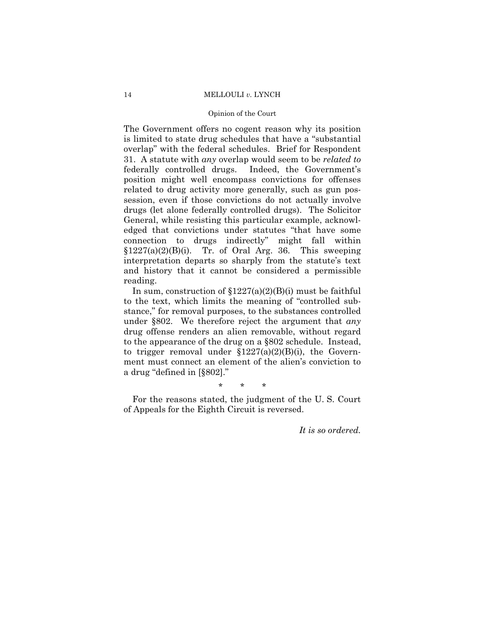#### Opinion of the Court

The Government offers no cogent reason why its position is limited to state drug schedules that have a "substantial overlap" with the federal schedules. Brief for Respondent 31. A statute with *any* overlap would seem to be *related to*  federally controlled drugs. Indeed, the Government's position might well encompass convictions for offenses related to drug activity more generally, such as gun possession, even if those convictions do not actually involve drugs (let alone federally controlled drugs). The Solicitor General, while resisting this particular example, acknowledged that convictions under statutes "that have some connection to drugs indirectly" might fall within  $$1227(a)(2)(B)(i)$ . Tr. of Oral Arg. 36. This sweeping interpretation departs so sharply from the statute's text and history that it cannot be considered a permissible reading.

In sum, construction of  $$1227(a)(2)(B)(i)$  must be faithful to the text, which limits the meaning of "controlled substance," for removal purposes, to the substances controlled under §802. We therefore reject the argument that *any* drug offense renders an alien removable, without regard to the appearance of the drug on a §802 schedule. Instead, to trigger removal under  $$1227(a)(2)(B)(i)$ , the Government must connect an element of the alien's conviction to a drug "defined in [§802]."

\* \* \*

For the reasons stated, the judgment of the U. S. Court of Appeals for the Eighth Circuit is reversed.

*It is so ordered.*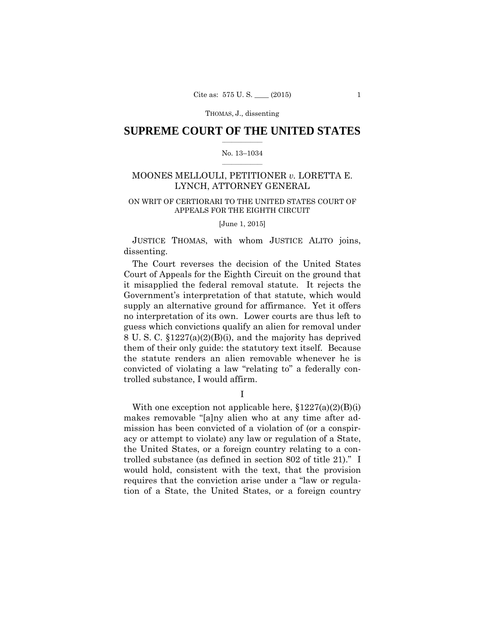## $\frac{1}{2}$  ,  $\frac{1}{2}$  ,  $\frac{1}{2}$  ,  $\frac{1}{2}$  ,  $\frac{1}{2}$  ,  $\frac{1}{2}$  ,  $\frac{1}{2}$ **SUPREME COURT OF THE UNITED STATES**

#### $\frac{1}{2}$  ,  $\frac{1}{2}$  ,  $\frac{1}{2}$  ,  $\frac{1}{2}$  ,  $\frac{1}{2}$  ,  $\frac{1}{2}$ No. 13–1034

# MOONES MELLOULI, PETITIONER *v.* LORETTA E. LYNCH, ATTORNEY GENERAL

## ON WRIT OF CERTIORARI TO THE UNITED STATES COURT OF APPEALS FOR THE EIGHTH CIRCUIT

[June 1, 2015]

 JUSTICE THOMAS, with whom JUSTICE ALITO joins, dissenting.

The Court reverses the decision of the United States Court of Appeals for the Eighth Circuit on the ground that it misapplied the federal removal statute. It rejects the Government's interpretation of that statute, which would supply an alternative ground for affirmance. Yet it offers no interpretation of its own. Lower courts are thus left to guess which convictions qualify an alien for removal under 8 U. S. C. §1227(a)(2)(B)(i), and the majority has deprived them of their only guide: the statutory text itself. Because the statute renders an alien removable whenever he is convicted of violating a law "relating to" a federally controlled substance, I would affirm.

I

With one exception not applicable here,  $$1227(a)(2)(B)(i)$ makes removable "[a]ny alien who at any time after admission has been convicted of a violation of (or a conspiracy or attempt to violate) any law or regulation of a State, the United States, or a foreign country relating to a controlled substance (as defined in section 802 of title 21)." I would hold, consistent with the text, that the provision requires that the conviction arise under a "law or regulation of a State, the United States, or a foreign country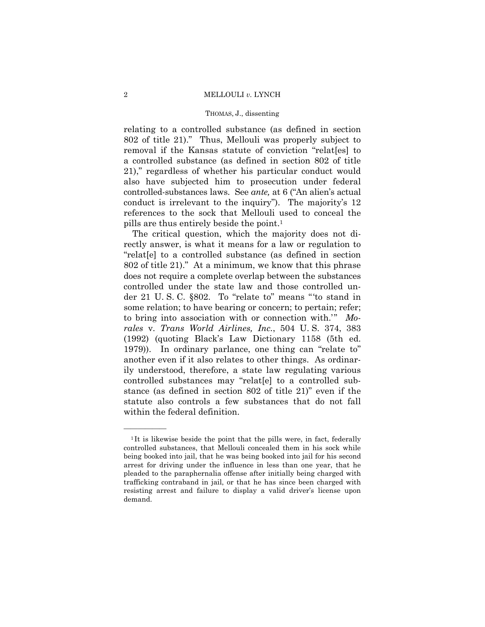#### THOMAS, J., dissenting

relating to a controlled substance (as defined in section 802 of title 21)." Thus, Mellouli was properly subject to removal if the Kansas statute of conviction "relat[es] to a controlled substance (as defined in section 802 of title 21)," regardless of whether his particular conduct would also have subjected him to prosecution under federal controlled-substances laws. See *ante,* at 6 ("An alien's actual conduct is irrelevant to the inquiry"). The majority's 12 references to the sock that Mellouli used to conceal the pills are thus entirely beside the point.1

The critical question, which the majority does not directly answer, is what it means for a law or regulation to "relat[e] to a controlled substance (as defined in section 802 of title 21)." At a minimum, we know that this phrase does not require a complete overlap between the substances controlled under the state law and those controlled under 21 U. S. C. §802. To "relate to" means "'to stand in some relation; to have bearing or concern; to pertain; refer; to bring into association with or connection with.<sup>"</sup> Mo*rales* v. *Trans World Airlines, Inc.*, 504 U. S. 374, 383 (1992) (quoting Black's Law Dictionary 1158 (5th ed. 1979)). In ordinary parlance, one thing can "relate to" another even if it also relates to other things. As ordinarily understood, therefore, a state law regulating various controlled substances may "relat[e] to a controlled substance (as defined in section 802 of title 21)" even if the statute also controls a few substances that do not fall within the federal definition.

<sup>&</sup>lt;sup>1</sup>It is likewise beside the point that the pills were, in fact, federally controlled substances, that Mellouli concealed them in his sock while being booked into jail, that he was being booked into jail for his second arrest for driving under the influence in less than one year, that he pleaded to the paraphernalia offense after initially being charged with trafficking contraband in jail, or that he has since been charged with resisting arrest and failure to display a valid driver's license upon demand.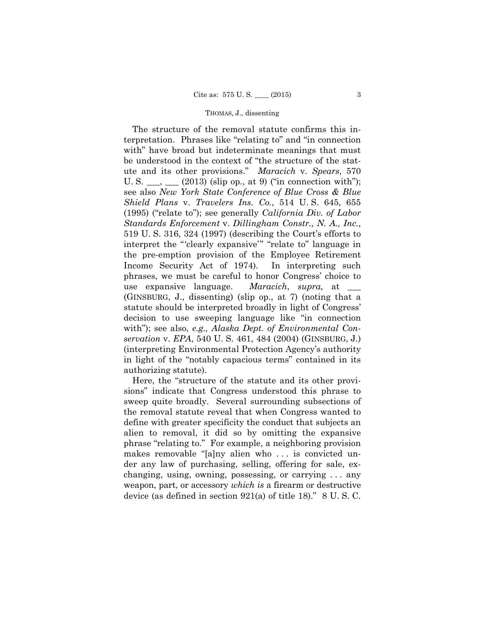*servation* v. *EPA*, 540 U. S. 461, 484 (2004) (GINSBURG, J.) The structure of the removal statute confirms this interpretation. Phrases like "relating to" and "in connection with" have broad but indeterminate meanings that must be understood in the context of "the structure of the statute and its other provisions." *Maracich* v. *Spears*, 570 U. S.  $\_\_\_\_\_\_\_\_\_\_\_\_\_\_\_\_\_\_$  (2013) (slip op., at 9) ("in connection with"); see also *New York State Conference of Blue Cross & Blue Shield Plans* v. *Travelers Ins. Co.*, 514 U. S. 645, 655 (1995) ("relate to"); see generally *California Div. of Labor Standards Enforcement* v. *Dillingham Constr., N. A., Inc.*, 519 U. S. 316, 324 (1997) (describing the Court's efforts to interpret the "'clearly expansive'" "relate to" language in the pre-emption provision of the Employee Retirement Income Security Act of 1974). In interpreting such phrases, we must be careful to honor Congress' choice to use expansive language. *Maracich*, *supra,* at \_\_\_ (GINSBURG, J., dissenting) (slip op., at 7) (noting that a statute should be interpreted broadly in light of Congress' decision to use sweeping language like "in connection with"); see also, *e.g., Alaska Dept. of Environmental Con-*(interpreting Environmental Protection Agency's authority in light of the "notably capacious terms" contained in its authorizing statute).

Here, the "structure of the statute and its other provisions" indicate that Congress understood this phrase to sweep quite broadly. Several surrounding subsections of the removal statute reveal that when Congress wanted to define with greater specificity the conduct that subjects an alien to removal, it did so by omitting the expansive phrase "relating to." For example, a neighboring provision makes removable "[a]ny alien who . . . is convicted under any law of purchasing, selling, offering for sale, exchanging, using, owning, possessing, or carrying . . . any weapon, part, or accessory *which is* a firearm or destructive device (as defined in section 921(a) of title 18)." 8 U. S. C.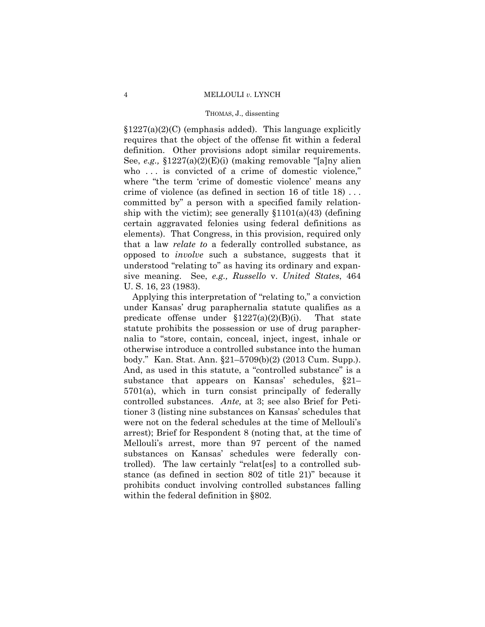$$1227(a)(2)(C)$  (emphasis added). This language explicitly requires that the object of the offense fit within a federal definition. Other provisions adopt similar requirements. See, *e.g.,* §1227(a)(2)(E)(i) (making removable "[a]ny alien who ... is convicted of a crime of domestic violence," where "the term 'crime of domestic violence' means any crime of violence (as defined in section 16 of title 18) . . . committed by" a person with a specified family relationship with the victim); see generally  $$1101(a)(43)$  (defining certain aggravated felonies using federal definitions as elements). That Congress, in this provision, required only that a law *relate to* a federally controlled substance, as opposed to *involve* such a substance, suggests that it understood "relating to" as having its ordinary and expansive meaning. See, *e.g., Russello* v. *United States*, 464 U. S. 16, 23 (1983).

 under Kansas' drug paraphernalia statute qualifies as a body." Kan. Stat. Ann. §21–5709(b)(2) (2013 Cum. Supp.). Applying this interpretation of "relating to," a conviction predicate offense under  $$1227(a)(2)(B)(i)$ . That state statute prohibits the possession or use of drug paraphernalia to "store, contain, conceal, inject, ingest, inhale or otherwise introduce a controlled substance into the human And, as used in this statute, a "controlled substance" is a substance that appears on Kansas' schedules, §21– 5701(a), which in turn consist principally of federally controlled substances. *Ante,* at 3; see also Brief for Petitioner 3 (listing nine substances on Kansas' schedules that were not on the federal schedules at the time of Mellouli's arrest); Brief for Respondent 8 (noting that, at the time of Mellouli's arrest, more than 97 percent of the named substances on Kansas' schedules were federally controlled). The law certainly "relat[es] to a controlled substance (as defined in section 802 of title 21)" because it prohibits conduct involving controlled substances falling within the federal definition in §802.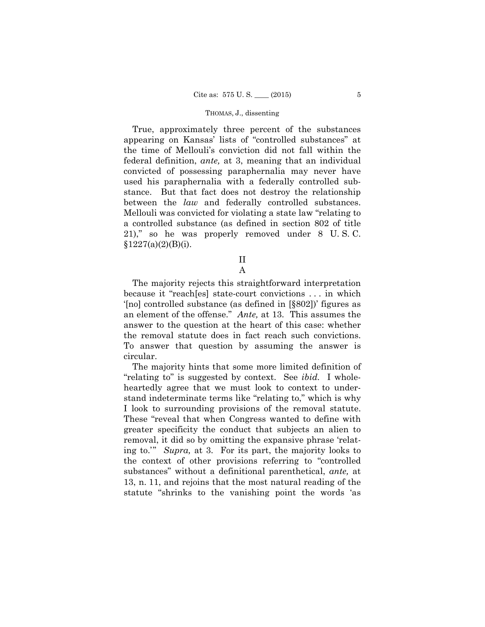True, approximately three percent of the substances appearing on Kansas' lists of "controlled substances" at the time of Mellouli's conviction did not fall within the federal definition, *ante,* at 3, meaning that an individual convicted of possessing paraphernalia may never have used his paraphernalia with a federally controlled substance. But that fact does not destroy the relationship between the *law* and federally controlled substances. Mellouli was convicted for violating a state law "relating to a controlled substance (as defined in section 802 of title 21)," so he was properly removed under 8 U. S. C.  $§1227(a)(2)(B)(i).$ 

II

A

The majority rejects this straightforward interpretation because it "reach[es] state-court convictions . . . in which '[no] controlled substance (as defined in [§802])' figures as an element of the offense." *Ante,* at 13. This assumes the answer to the question at the heart of this case: whether the removal statute does in fact reach such convictions. To answer that question by assuming the answer is circular.

The majority hints that some more limited definition of "relating to" is suggested by context. See *ibid.* I wholeheartedly agree that we must look to context to understand indeterminate terms like "relating to," which is why I look to surrounding provisions of the removal statute. These "reveal that when Congress wanted to define with greater specificity the conduct that subjects an alien to removal, it did so by omitting the expansive phrase 'relating to.'" *Supra,* at 3. For its part, the majority looks to the context of other provisions referring to "controlled substances" without a definitional parenthetical, *ante,* at 13, n. 11, and rejoins that the most natural reading of the statute "shrinks to the vanishing point the words 'as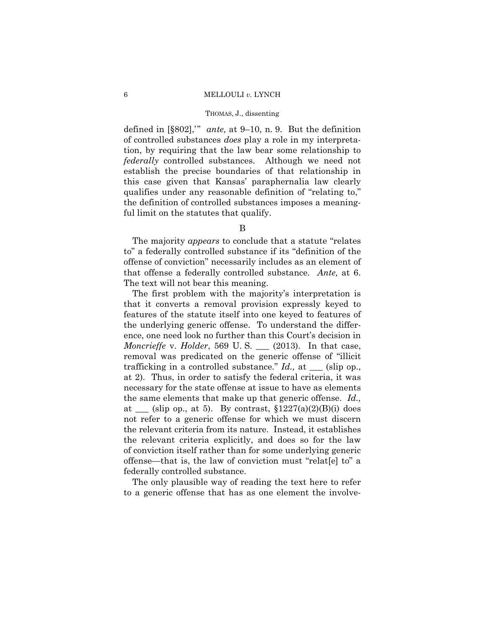#### THOMAS, J., dissenting

defined in [§802],'" *ante,* at 9–10, n. 9. But the definition of controlled substances *does* play a role in my interpretation, by requiring that the law bear some relationship to *federally* controlled substances. Although we need not establish the precise boundaries of that relationship in this case given that Kansas' paraphernalia law clearly qualifies under any reasonable definition of "relating to," the definition of controlled substances imposes a meaningful limit on the statutes that qualify.

## B

 The majority *appears* to conclude that a statute "relates to" a federally controlled substance if its "definition of the offense of conviction" necessarily includes as an element of that offense a federally controlled substance. *Ante,* at 6. The text will not bear this meaning.

The first problem with the majority's interpretation is that it converts a removal provision expressly keyed to features of the statute itself into one keyed to features of the underlying generic offense. To understand the difference, one need look no further than this Court's decision in *Moncrieffe* v. *Holder*, 569 U. S. \_\_\_ (2013). In that case, removal was predicated on the generic offense of "illicit trafficking in a controlled substance." *Id.,* at \_\_\_ (slip op., at 2). Thus, in order to satisfy the federal criteria, it was necessary for the state offense at issue to have as elements the same elements that make up that generic offense. *Id.,*  at  $\equiv$  (slip op., at 5). By contrast, §1227(a)(2)(B)(i) does not refer to a generic offense for which we must discern the relevant criteria from its nature. Instead, it establishes the relevant criteria explicitly, and does so for the law of conviction itself rather than for some underlying generic offense—that is, the law of conviction must "relat[e] to" a federally controlled substance.

The only plausible way of reading the text here to refer to a generic offense that has as one element the involve-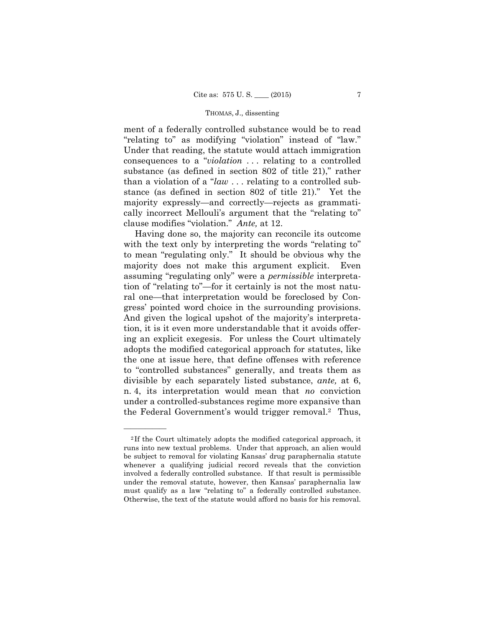ment of a federally controlled substance would be to read "relating to" as modifying "violation" instead of "law." Under that reading, the statute would attach immigration consequences to a "*violation* . . . relating to a controlled substance (as defined in section 802 of title 21)," rather than a violation of a "*law* . . . relating to a controlled substance (as defined in section 802 of title 21)." Yet the majority expressly—and correctly—rejects as grammatically incorrect Mellouli's argument that the "relating to" clause modifies "violation." *Ante,* at 12.

Having done so, the majority can reconcile its outcome with the text only by interpreting the words "relating to" to mean "regulating only." It should be obvious why the majority does not make this argument explicit. Even assuming "regulating only" were a *permissible* interpretation of "relating to"—for it certainly is not the most natural one—that interpretation would be foreclosed by Congress' pointed word choice in the surrounding provisions. And given the logical upshot of the majority's interpretation, it is it even more understandable that it avoids offering an explicit exegesis. For unless the Court ultimately adopts the modified categorical approach for statutes, like the one at issue here, that define offenses with reference to "controlled substances" generally, and treats them as divisible by each separately listed substance, *ante,* at 6, n. 4, its interpretation would mean that *no* conviction under a controlled-substances regime more expansive than the Federal Government's would trigger removal.2 Thus,

<sup>&</sup>lt;sup>2</sup>If the Court ultimately adopts the modified categorical approach, it runs into new textual problems. Under that approach, an alien would be subject to removal for violating Kansas' drug paraphernalia statute whenever a qualifying judicial record reveals that the conviction involved a federally controlled substance. If that result is permissible under the removal statute, however, then Kansas' paraphernalia law must qualify as a law "relating to" a federally controlled substance. Otherwise, the text of the statute would afford no basis for his removal.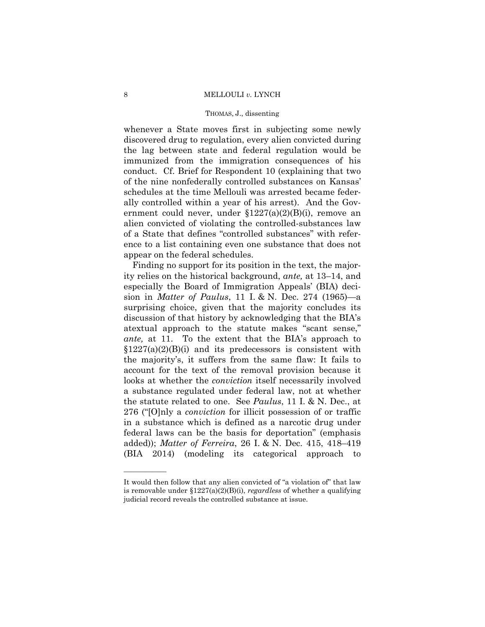#### THOMAS, J., dissenting

whenever a State moves first in subjecting some newly discovered drug to regulation, every alien convicted during the lag between state and federal regulation would be immunized from the immigration consequences of his conduct. Cf. Brief for Respondent 10 (explaining that two of the nine nonfederally controlled substances on Kansas' schedules at the time Mellouli was arrested became federally controlled within a year of his arrest). And the Government could never, under §1227(a)(2)(B)(i), remove an alien convicted of violating the controlled-substances law of a State that defines "controlled substances" with reference to a list containing even one substance that does not appear on the federal schedules.

Finding no support for its position in the text, the majority relies on the historical background, *ante,* at 13–14, and especially the Board of Immigration Appeals' (BIA) decision in *Matter of Paulus*, 11 I. & N. Dec. 274 (1965)—a surprising choice, given that the majority concludes its discussion of that history by acknowledging that the BIA's atextual approach to the statute makes "scant sense," *ante,* at 11. To the extent that the BIA's approach to  $$1227(a)(2)(B)(i)$  and its predecessors is consistent with the majority's, it suffers from the same flaw: It fails to account for the text of the removal provision because it looks at whether the *conviction* itself necessarily involved a substance regulated under federal law, not at whether the statute related to one. See *Paulus*, 11 I. & N. Dec., at 276 ("[O]nly a *conviction* for illicit possession of or traffic in a substance which is defined as a narcotic drug under federal laws can be the basis for deportation" (emphasis added)); *Matter of Ferreira*, 26 I. & N. Dec. 415, 418–419 (BIA 2014) (modeling its categorical approach to

It would then follow that any alien convicted of "a violation of" that law is removable under §1227(a)(2)(B)(i), *regardless* of whether a qualifying judicial record reveals the controlled substance at issue.